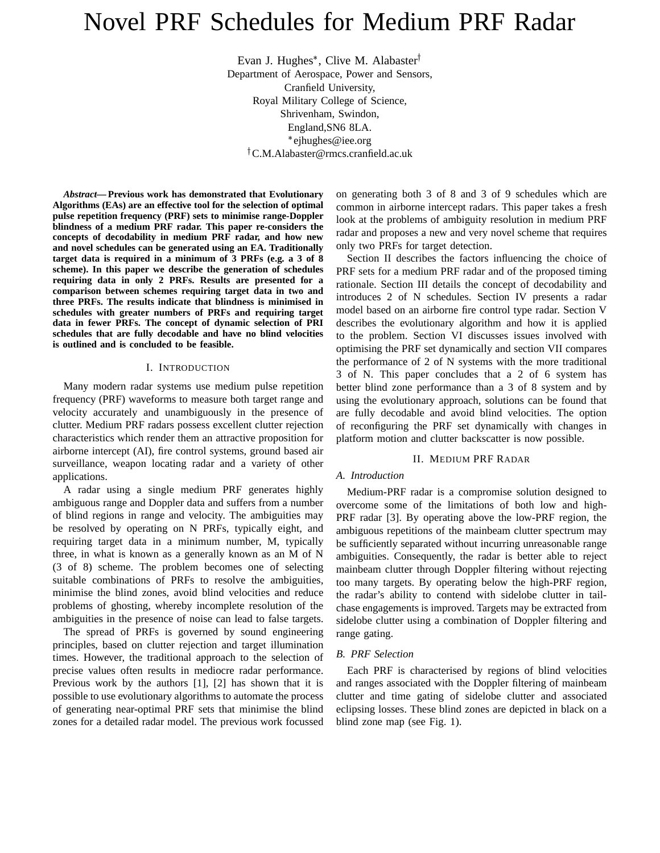# Novel PRF Schedules for Medium PRF Radar

Evan J. Hughes\*, Clive M. Alabaster<sup>†</sup> Department of Aerospace, Power and Sensors, Cranfield University, Royal Military College of Science, Shrivenham, Swindon, England,SN6 8LA. ejhughes@iee.org C.M.Alabaster@rmcs.cranfield.ac.uk

*Abstract***— Previous work has demonstrated that Evolutionary Algorithms (EAs) are an effective tool for the selection of optimal pulse repetition frequency (PRF) sets to minimise range-Doppler blindness of a medium PRF radar. This paper re-considers the concepts of decodability in medium PRF radar, and how new and novel schedules can be generated using an EA. Traditionally target data is required in a minimum of 3 PRFs (e.g. a 3 of 8 scheme). In this paper we describe the generation of schedules requiring data in only 2 PRFs. Results are presented for a comparison between schemes requiring target data in two and three PRFs. The results indicate that blindness is minimised in schedules with greater numbers of PRFs and requiring target data in fewer PRFs. The concept of dynamic selection of PRI schedules that are fully decodable and have no blind velocities is outlined and is concluded to be feasible.**

## I. INTRODUCTION

Many modern radar systems use medium pulse repetition frequency (PRF) waveforms to measure both target range and velocity accurately and unambiguously in the presence of clutter. Medium PRF radars possess excellent clutter rejection characteristics which render them an attractive proposition for airborne intercept (AI), fire control systems, ground based air surveillance, weapon locating radar and a variety of other applications.

A radar using a single medium PRF generates highly ambiguous range and Doppler data and suffers from a number of blind regions in range and velocity. The ambiguities may be resolved by operating on N PRFs, typically eight, and requiring target data in a minimum number, M, typically three, in what is known as a generally known as an M of N (3 of 8) scheme. The problem becomes one of selecting suitable combinations of PRFs to resolve the ambiguities, minimise the blind zones, avoid blind velocities and reduce problems of ghosting, whereby incomplete resolution of the ambiguities in the presence of noise can lead to false targets.

The spread of PRFs is governed by sound engineering principles, based on clutter rejection and target illumination times. However, the traditional approach to the selection of precise values often results in mediocre radar performance. Previous work by the authors [1], [2] has shown that it is possible to use evolutionary algorithms to automate the process of generating near-optimal PRF sets that minimise the blind zones for a detailed radar model. The previous work focussed

on generating both 3 of 8 and 3 of 9 schedules which are common in airborne intercept radars. This paper takes a fresh look at the problems of ambiguity resolution in medium PRF radar and proposes a new and very novel scheme that requires only two PRFs for target detection.

Section II describes the factors influencing the choice of PRF sets for a medium PRF radar and of the proposed timing rationale. Section III details the concept of decodability and introduces 2 of N schedules. Section IV presents a radar model based on an airborne fire control type radar. Section V describes the evolutionary algorithm and how it is applied to the problem. Section VI discusses issues involved with optimising the PRF set dynamically and section VII compares the performance of 2 of N systems with the more traditional 3 of N. This paper concludes that a 2 of 6 system has better blind zone performance than a 3 of 8 system and by using the evolutionary approach, solutions can be found that are fully decodable and avoid blind velocities. The option of reconfiguring the PRF set dynamically with changes in platform motion and clutter backscatter is now possible.

#### II. MEDIUM PRF RADAR

# *A. Introduction*

Medium-PRF radar is a compromise solution designed to overcome some of the limitations of both low and high-PRF radar [3]. By operating above the low-PRF region, the ambiguous repetitions of the mainbeam clutter spectrum may be sufficiently separated without incurring unreasonable range ambiguities. Consequently, the radar is better able to reject mainbeam clutter through Doppler filtering without rejecting too many targets. By operating below the high-PRF region, the radar's ability to contend with sidelobe clutter in tailchase engagements is improved. Targets may be extracted from sidelobe clutter using a combination of Doppler filtering and range gating.

## *B. PRF Selection*

Each PRF is characterised by regions of blind velocities and ranges associated with the Doppler filtering of mainbeam clutter and time gating of sidelobe clutter and associated eclipsing losses. These blind zones are depicted in black on a blind zone map (see Fig. 1).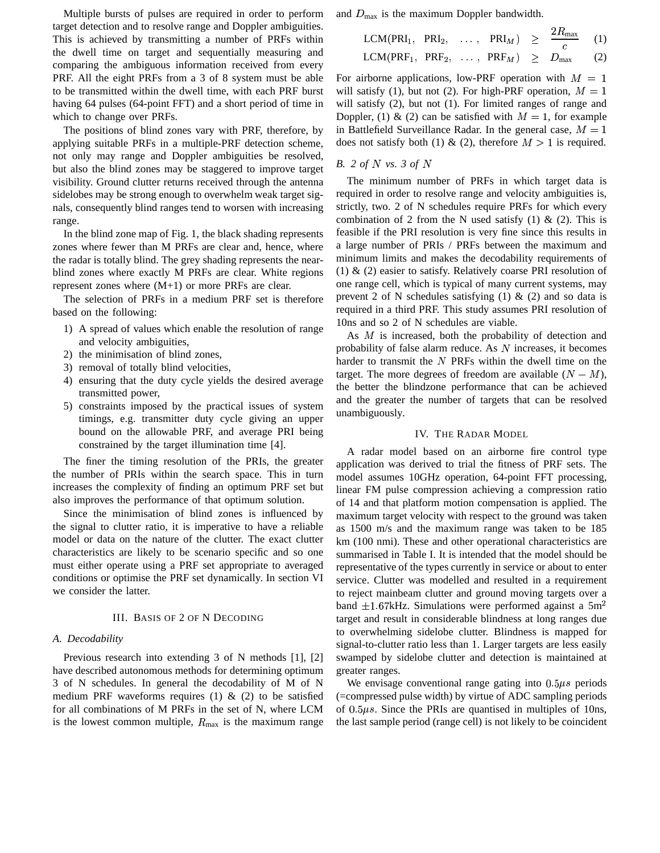Multiple bursts of pulses are required in order to perform target detection and to resolve range and Doppler ambiguities. This is achieved by transmitting a number of PRFs within the dwell time on target and sequentially measuring and comparing the ambiguous information received from every PRF. All the eight PRFs from a 3 of 8 system must be able to be transmitted within the dwell time, with each PRF burst having 64 pulses (64-point FFT) and a short period of time in which to change over PRFs.

The positions of blind zones vary with PRF, therefore, by applying suitable PRFs in a multiple-PRF detection scheme, not only may range and Doppler ambiguities be resolved, but also the blind zones may be staggered to improve target visibility. Ground clutter returns received through the antenna sidelobes may be strong enough to overwhelm weak target signals, consequently blind ranges tend to worsen with increasing range.

In the blind zone map of Fig. 1, the black shading represents zones where fewer than M PRFs are clear and, hence, where the radar is totally blind. The grey shading represents the nearblind zones where exactly M PRFs are clear. White regions represent zones where (M+1) or more PRFs are clear.

The selection of PRFs in a medium PRF set is therefore based on the following:

- 1) A spread of values which enable the resolution of range and velocity ambiguities,
- 2) the minimisation of blind zones,
- 3) removal of totally blind velocities,
- 4) ensuring that the duty cycle yields the desired average transmitted power,
- 5) constraints imposed by the practical issues of system timings, e.g. transmitter duty cycle giving an upper bound on the allowable PRF, and average PRI being constrained by the target illumination time [4].

The finer the timing resolution of the PRIs, the greater the number of PRIs within the search space. This in turn increases the complexity of finding an optimum PRF set but also improves the performance of that optimum solution.

Since the minimisation of blind zones is influenced by the signal to clutter ratio, it is imperative to have a reliable model or data on the nature of the clutter. The exact clutter characteristics are likely to be scenario specific and so one must either operate using a PRF set appropriate to averaged conditions or optimise the PRF set dynamically. In section VI we consider the latter.

## III. BASIS OF 2 OF N DECODING

### *A. Decodability*

Previous research into extending 3 of N methods [1], [2] have described autonomous methods for determining optimum 3 of N schedules. In general the decodability of M of N medium PRF waveforms requires (1)  $\&$  (2) to be satisfied for all combinations of M PRFs in the set of N, where LCM is the lowest common multiple,  $R_{\text{max}}$  is the maximum range and  $D_{\text{max}}$  is the maximum Doppler bandwidth.

$$
LCM(PRI1, PRI2, ..., PRIM) \ge \frac{2R_{\text{max}}}{c}
$$
 (1)  
\n
$$
LCM(PRF1, PRF2, ..., PRFM) \ge D_{\text{max}}
$$
 (2)

For airborne applications, low-PRF operation with  $M = 1$ will satisfy (1), but not (2). For high-PRF operation,  $M = 1$ will satisfy  $(2)$ , but not  $(1)$ . For limited ranges of range and Doppler, (1) & (2) can be satisfied with  $M = 1$ , for example in Battlefield Surveillance Radar. In the general case,  $M = 1$ does not satisfy both (1) & (2), therefore  $M > 1$  is required.

## *B. 2 of* % *vs. 3 of* %

The minimum number of PRFs in which target data is required in order to resolve range and velocity ambiguities is, strictly, two. 2 of N schedules require PRFs for which every combination of 2 from the N used satisfy  $(1)$  &  $(2)$ . This is feasible if the PRI resolution is very fine since this results in a large number of PRIs / PRFs between the maximum and minimum limits and makes the decodability requirements of (1) & (2) easier to satisfy. Relatively coarse PRI resolution of one range cell, which is typical of many current systems, may prevent 2 of N schedules satisfying  $(1)$  &  $(2)$  and so data is required in a third PRF. This study assumes PRI resolution of 10ns and so 2 of N schedules are viable.

As  $M$  is increased, both the probability of detection and probability of false alarm reduce. As  $N$  increases, it becomes harder to transmit the  $N$  PRFs within the dwell time on the target. The more degrees of freedom are available  $(N - M)$ , the better the blindzone performance that can be achieved and the greater the number of targets that can be resolved unambiguously.

#### IV. THE RADAR MODEL

A radar model based on an airborne fire control type application was derived to trial the fitness of PRF sets. The model assumes 10GHz operation, 64-point FFT processing, linear FM pulse compression achieving a compression ratio of 14 and that platform motion compensation is applied. The maximum target velocity with respect to the ground was taken as 1500 m/s and the maximum range was taken to be 185 km (100 nmi). These and other operational characteristics are summarised in Table I. It is intended that the model should be representative of the types currently in service or about to enter service. Clutter was modelled and resulted in a requirement to reject mainbeam clutter and ground moving targets over a band  $\pm 1.67$ kHz. Simulations were performed against a 5m<sup>2</sup> target and result in considerable blindness at long ranges due to overwhelming sidelobe clutter. Blindness is mapped for signal-to-clutter ratio less than 1. Larger targets are less easily swamped by sidelobe clutter and detection is maintained at greater ranges.

We envisage conventional range gating into  $0.5 \mu s$  periods (=compressed pulse width) by virtue of ADC sampling periods of  $0.5 \mu s$ . Since the PRIs are quantised in multiples of 10ns, the last sample period (range cell) is not likely to be coincident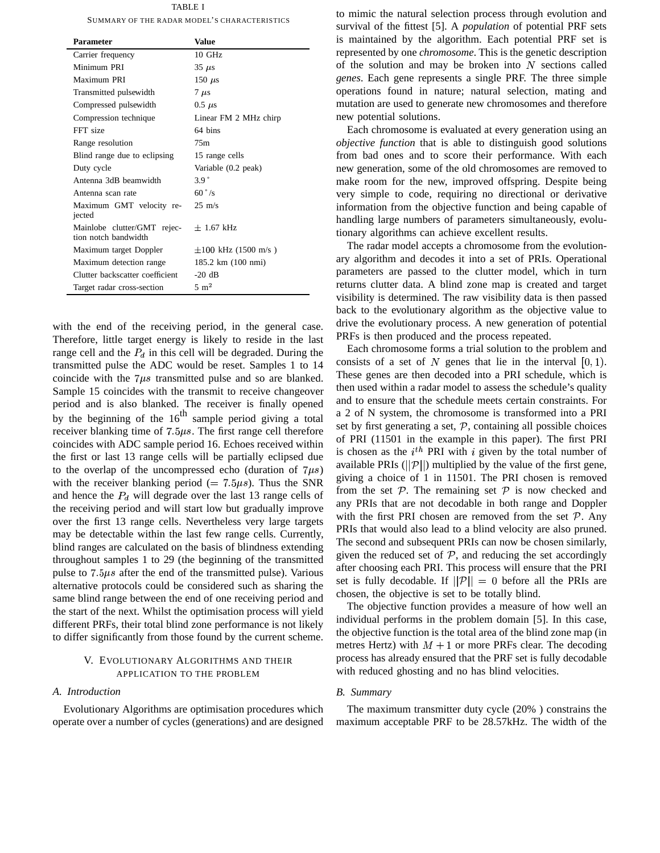TABLE I SUMMARY OF THE RADAR MODEL'S CHARACTERISTICS

| <b>Value</b>             |
|--------------------------|
| $10 \text{ GHz}$         |
| $35 \mu s$               |
| 150 $\mu$ s              |
| $7 \text{ }\mu\text{s}$  |
| $0.5 \mu s$              |
| Linear FM 2 MHz chirp    |
| 64 hins                  |
| 75m                      |
| 15 range cells           |
| Variable (0.2 peak)      |
| 3.9 <sup>°</sup>         |
| $60^\circ$ /s            |
| $25 \text{ m/s}$         |
| $\pm$ 1.67 kHz           |
| $\pm 100$ kHz (1500 m/s) |
| 185.2 km (100 nmi)       |
| $-20 dB$                 |
| $5 \text{ m}^2$          |
|                          |

with the end of the receiving period, in the general case. Therefore, little target energy is likely to reside in the last range cell and the  $P_d$  in this cell will be degraded. During the transmitted pulse the ADC would be reset. Samples 1 to 14 coincide with the  $7\mu s$  transmitted pulse and so are blanked. Sample 15 coincides with the transmit to receive changeover period and is also blanked. The receiver is finally opened by the beginning of the  $16<sup>th</sup>$  sample period giving a total receiver blanking time of  $7.5\mu s$ . The first range cell therefore coincides with ADC sample period 16. Echoes received within the first or last 13 range cells will be partially eclipsed due to the overlap of the uncompressed echo (duration of  $7\mu s$ ) with the receiver blanking period (=  $7.5\mu s$ ). Thus the SNR and hence the  $P_d$  will degrade over the last 13 range cells of the receiving period and will start low but gradually improve over the first 13 range cells. Nevertheless very large targets may be detectable within the last few range cells. Currently, blind ranges are calculated on the basis of blindness extending throughout samples 1 to 29 (the beginning of the transmitted pulse to  $7.5\mu s$  after the end of the transmitted pulse). Various alternative protocols could be considered such as sharing the same blind range between the end of one receiving period and the start of the next. Whilst the optimisation process will yield different PRFs, their total blind zone performance is not likely to differ significantly from those found by the current scheme.

## V. EVOLUTIONARY ALGORITHMS AND THEIR APPLICATION TO THE PROBLEM

#### *A. Introduction*

Evolutionary Algorithms are optimisation procedures which operate over a number of cycles (generations) and are designed

to mimic the natural selection process through evolution and survival of the fittest [5]. A *population* of potential PRF sets is maintained by the algorithm. Each potential PRF set is represented by one *chromosome*. This is the genetic description of the solution and may be broken into  $N$  sections called *genes*. Each gene represents a single PRF. The three simple operations found in nature; natural selection, mating and mutation are used to generate new chromosomes and therefore new potential solutions.

Each chromosome is evaluated at every generation using an *objective function* that is able to distinguish good solutions from bad ones and to score their performance. With each new generation, some of the old chromosomes are removed to make room for the new, improved offspring. Despite being very simple to code, requiring no directional or derivative information from the objective function and being capable of handling large numbers of parameters simultaneously, evolutionary algorithms can achieve excellent results.

The radar model accepts a chromosome from the evolutionary algorithm and decodes it into a set of PRIs. Operational parameters are passed to the clutter model, which in turn returns clutter data. A blind zone map is created and target visibility is determined. The raw visibility data is then passed back to the evolutionary algorithm as the objective value to drive the evolutionary process. A new generation of potential PRFs is then produced and the process repeated.

Each chromosome forms a trial solution to the problem and consists of a set of N genes that lie in the interval  $[0, 1)$ . These genes are then decoded into a PRI schedule, which is then used within a radar model to assess the schedule's quality and to ensure that the schedule meets certain constraints. For a 2 of N system, the chromosome is transformed into a PRI set by first generating a set,  $P$ , containing all possible choices of PRI (11501 in the example in this paper). The first PRI is chosen as the  $i^{th}$  PRI with i given by the total number of available PRIs ( $||P||$ ) multiplied by the value of the first gene, giving a choice of 1 in 11501. The PRI chosen is removed from the set  $P$ . The remaining set  $P$  is now checked and any PRIs that are not decodable in both range and Doppler with the first PRI chosen are removed from the set  $P$ . Any PRIs that would also lead to a blind velocity are also pruned. The second and subsequent PRIs can now be chosen similarly, given the reduced set of  $P$ , and reducing the set accordingly after choosing each PRI. This process will ensure that the PRI set is fully decodable. If  $||\mathcal{P}|| = 0$  before all the PRIs are chosen, the objective is set to be totally blind.

The objective function provides a measure of how well an individual performs in the problem domain [5]. In this case, the objective function is the total area of the blind zone map (in metres Hertz) with  $M+1$  or more PRFs clear. The decoding process has already ensured that the PRF set is fully decodable with reduced ghosting and no has blind velocities.

## *B. Summary*

The maximum transmitter duty cycle (20% ) constrains the maximum acceptable PRF to be 28.57kHz. The width of the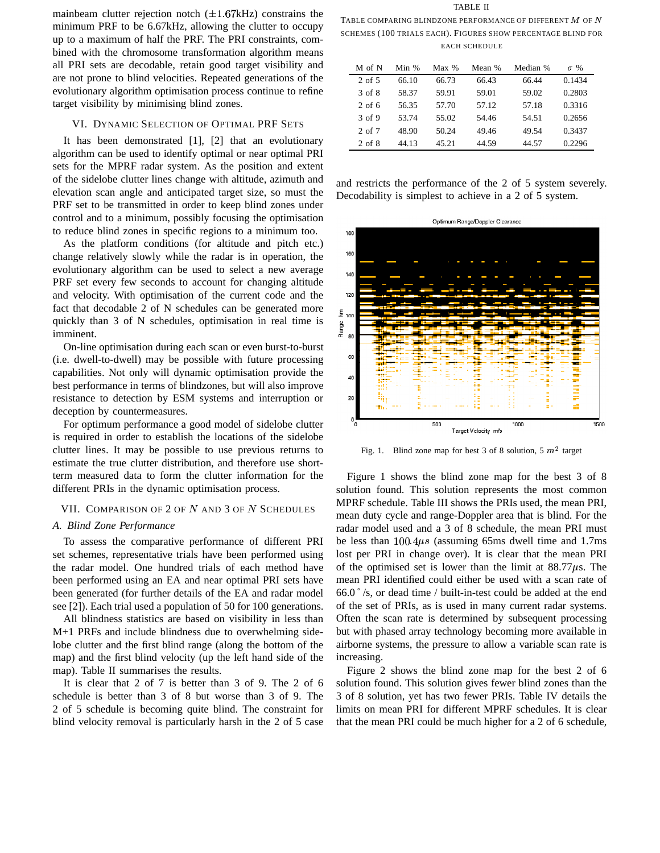mainbeam clutter rejection notch  $(\pm 1.67 \text{kHz})$  constrains the minimum PRF to be 6.67kHz, allowing the clutter to occupy up to a maximum of half the PRF. The PRI constraints, combined with the chromosome transformation algorithm means all PRI sets are decodable, retain good target visibility and are not prone to blind velocities. Repeated generations of the evolutionary algorithm optimisation process continue to refine target visibility by minimising blind zones.

## VI. DYNAMIC SELECTION OF OPTIMAL PRF SETS

It has been demonstrated [1], [2] that an evolutionary algorithm can be used to identify optimal or near optimal PRI sets for the MPRF radar system. As the position and extent of the sidelobe clutter lines change with altitude, azimuth and elevation scan angle and anticipated target size, so must the PRF set to be transmitted in order to keep blind zones under control and to a minimum, possibly focusing the optimisation to reduce blind zones in specific regions to a minimum too.

As the platform conditions (for altitude and pitch etc.) change relatively slowly while the radar is in operation, the evolutionary algorithm can be used to select a new average PRF set every few seconds to account for changing altitude and velocity. With optimisation of the current code and the fact that decodable 2 of N schedules can be generated more quickly than 3 of N schedules, optimisation in real time is imminent.

On-line optimisation during each scan or even burst-to-burst (i.e. dwell-to-dwell) may be possible with future processing capabilities. Not only will dynamic optimisation provide the best performance in terms of blindzones, but will also improve resistance to detection by ESM systems and interruption or deception by countermeasures.

For optimum performance a good model of sidelobe clutter is required in order to establish the locations of the sidelobe clutter lines. It may be possible to use previous returns to estimate the true clutter distribution, and therefore use shortterm measured data to form the clutter information for the different PRIs in the dynamic optimisation process.

## VII. COMPARISON OF  $2$  OF  $N$  AND  $3$  OF  $N$  SCHEDULES

# *A. Blind Zone Performance*

To assess the comparative performance of different PRI set schemes, representative trials have been performed using the radar model. One hundred trials of each method have been performed using an EA and near optimal PRI sets have been generated (for further details of the EA and radar model see [2]). Each trial used a population of 50 for 100 generations.

All blindness statistics are based on visibility in less than M+1 PRFs and include blindness due to overwhelming sidelobe clutter and the first blind range (along the bottom of the map) and the first blind velocity (up the left hand side of the map). Table II summarises the results.

It is clear that 2 of 7 is better than 3 of 9. The 2 of 6 schedule is better than 3 of 8 but worse than 3 of 9. The 2 of 5 schedule is becoming quite blind. The constraint for blind velocity removal is particularly harsh in the 2 of 5 case

TABLE II TABLE COMPARING BLINDZONE PERFORMANCE OF DIFFERENT  $M$  of  $N$ SCHEMES (100 TRIALS EACH). FIGURES SHOW PERCENTAGE BLIND FOR EACH SCHEDULE

| M of N   | Min % | $Max\%$ | Mean % | Median % | $\sigma$ % |
|----------|-------|---------|--------|----------|------------|
| $2$ of 5 | 66.10 | 66.73   | 66.43  | 66.44    | 0.1434     |
| 3 of 8   | 58.37 | 59.91   | 59.01  | 59.02    | 0.2803     |
| $2$ of 6 | 56.35 | 57.70   | 57.12  | 57.18    | 0.3316     |
| 3 of 9   | 53.74 | 55.02   | 54.46  | 54.51    | 0.2656     |
| 2 of 7   | 48.90 | 50.24   | 49.46  | 49.54    | 0.3437     |
| 2 of 8   | 44.13 | 45.21   | 44.59  | 44.57    | 0.2296     |

and restricts the performance of the 2 of 5 system severely. Decodability is simplest to achieve in a 2 of 5 system.



Fig. 1. Blind zone map for best 3 of 8 solution, 5  $m^2$  target

Figure 1 shows the blind zone map for the best 3 of 8 solution found. This solution represents the most common MPRF schedule. Table III shows the PRIs used, the mean PRI, mean duty cycle and range-Doppler area that is blind. For the radar model used and a 3 of 8 schedule, the mean PRI must be less than  $100.4\mu s$  (assuming 65ms dwell time and 1.7ms lost per PRI in change over). It is clear that the mean PRI of the optimised set is lower than the limit at  $88.77\mu s$ . The mean PRI identified could either be used with a scan rate of  $66.0\degree$ /s, or dead time / built-in-test could be added at the end of the set of PRIs, as is used in many current radar systems. Often the scan rate is determined by subsequent processing but with phased array technology becoming more available in airborne systems, the pressure to allow a variable scan rate is increasing.

Figure 2 shows the blind zone map for the best 2 of 6 solution found. This solution gives fewer blind zones than the 3 of 8 solution, yet has two fewer PRIs. Table IV details the limits on mean PRI for different MPRF schedules. It is clear that the mean PRI could be much higher for a 2 of 6 schedule,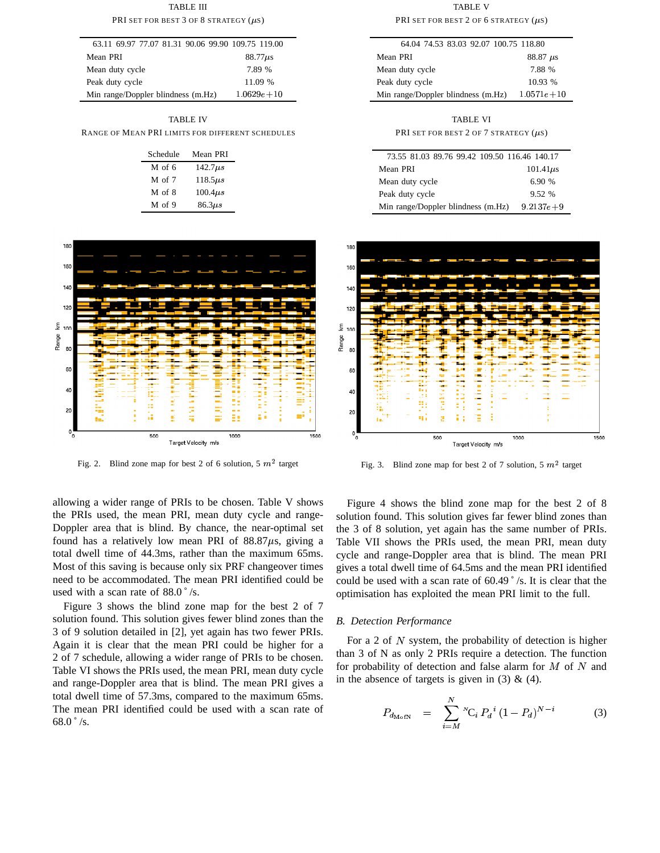TABLE III PRI SET FOR BEST 3 OF 8 STRATEGY  $(\mu s)$ 

| 63.11 69.97 77.07 81.31 90.06 99.90 109.75 119.00 |                |
|---------------------------------------------------|----------------|
| Mean PRI                                          | $88.77\mu s$   |
| Mean duty cycle                                   | 7.89 %         |
| Peak duty cycle                                   | 11.09 %        |
| Min range/Doppler blindness (m.Hz)                | $1.0629e + 10$ |

TABLE IV

RANGE OF MEAN PRI LIMITS FOR DIFFERENT SCHEDULES

| Schedule | Mean PRI      |  |
|----------|---------------|--|
| M of 6   | $142.7\mu s$  |  |
| M of 7   | $118.5\mu s$  |  |
| M of 8   | $100.4 \mu s$ |  |
| $M$ of 9 | $86.3\mu s$   |  |



Fig. 2. Blind zone map for best 2 of 6 solution, 5  $m<sup>2</sup>$  target

allowing a wider range of PRIs to be chosen. Table V shows the PRIs used, the mean PRI, mean duty cycle and range-Doppler area that is blind. By chance, the near-optimal set found has a relatively low mean PRI of  $88.87\mu s$ , giving a total dwell time of 44.3ms, rather than the maximum 65ms. Most of this saving is because only six PRF changeover times need to be accommodated. The mean PRI identified could be used with a scan rate of 88.0 ˚ /s.

Figure 3 shows the blind zone map for the best 2 of 7 solution found. This solution gives fewer blind zones than the 3 of 9 solution detailed in [2], yet again has two fewer PRIs. Again it is clear that the mean PRI could be higher for a 2 of 7 schedule, allowing a wider range of PRIs to be chosen. Table VI shows the PRIs used, the mean PRI, mean duty cycle and range-Doppler area that is blind. The mean PRI gives a total dwell time of 57.3ms, compared to the maximum 65ms. The mean PRI identified could be used with a scan rate of 68.0  $\degree$  /s.

TABLE V PRI SET FOR BEST 2 OF 6 STRATEGY  $(\mu s)$ 

| 64.04 74.53 83.03 92.07 100.75 118.80              |                              |
|----------------------------------------------------|------------------------------|
| Mean PRI                                           | $88.87 \text{ } \mu\text{s}$ |
| Mean duty cycle                                    | 7.88 %                       |
| Peak duty cycle                                    | 10.93%                       |
| Min range/Doppler blindness $(m.Hz)$ 1.0571 $e+10$ |                              |

TABLE VI

PRI SET FOR BEST 2 OF 7 STRATEGY  $(\mu s)$ 

| 73.55 81.03 89.76 99.42 109.50 116.46 140.17 |               |
|----------------------------------------------|---------------|
| Mean PRI                                     | $101.41\mu s$ |
| Mean duty cycle                              | 6.90%         |
| Peak duty cycle                              | 9.52 %        |
| Min range/Doppler blindness (m.Hz)           | $9.2137e+9$   |



Fig. 3. Blind zone map for best 2 of 7 solution, 5  $m<sup>2</sup>$  target

Figure 4 shows the blind zone map for the best 2 of 8 solution found. This solution gives far fewer blind zones than the 3 of 8 solution, yet again has the same number of PRIs. Table VII shows the PRIs used, the mean PRI, mean duty cycle and range-Doppler area that is blind. The mean PRI gives a total dwell time of 64.5ms and the mean PRI identified could be used with a scan rate of 60.49 ˚ /s. It is clear that the optimisation has exploited the mean PRI limit to the full.

# *B. Detection Performance*

For a 2 of  $N$  system, the probability of detection is higher than 3 of N as only 2 PRIs require a detection. The function for probability of detection and false alarm for  $M$  of  $N$  and in the absence of targets is given in  $(3)$  &  $(4)$ .

$$
P_{d_{\text{MofN}}} = \sum_{i=M}^{N} {}^{N}C_{i} P_{d}{}^{i} (1 - P_{d})^{N-i}
$$
 (3)